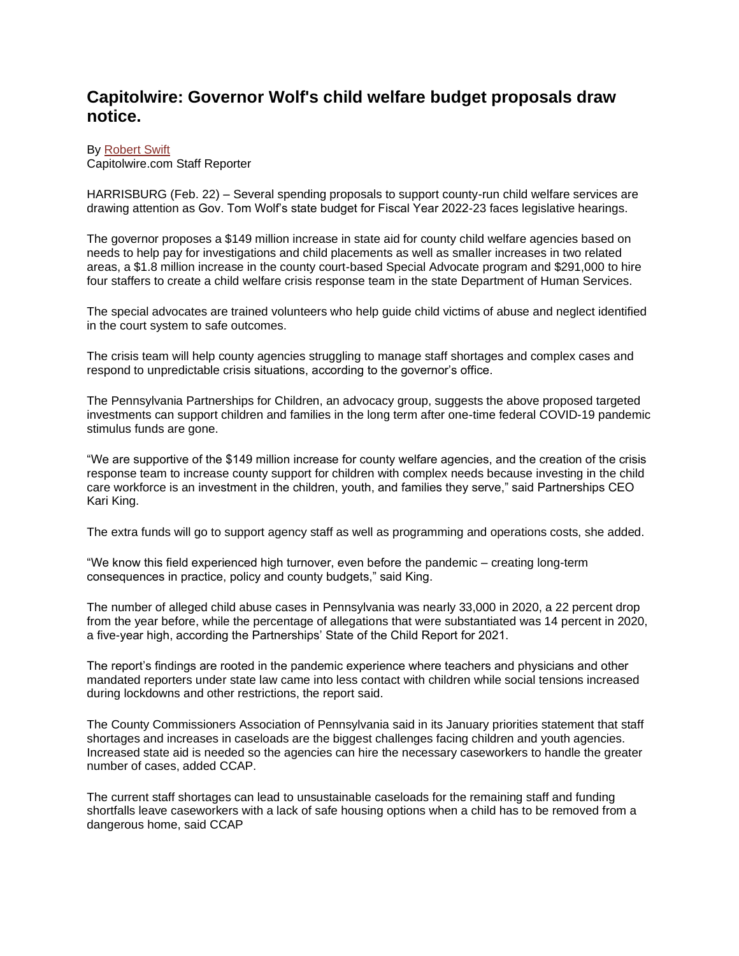## **Capitolwire: Governor Wolf's child welfare budget proposals draw notice.**

## By [Robert Swift](https://www.capitolwire.com/cwMailForm.asp?recipient=rbswift@capitolwire.com)

Capitolwire.com Staff Reporter

HARRISBURG (Feb. 22) – Several spending proposals to support county-run child welfare services are drawing attention as Gov. Tom Wolf's state budget for Fiscal Year 2022-23 faces legislative hearings.

The governor proposes a \$149 million increase in state aid for county child welfare agencies based on needs to help pay for investigations and child placements as well as smaller increases in two related areas, a \$1.8 million increase in the county court-based Special Advocate program and \$291,000 to hire four staffers to create a child welfare crisis response team in the state Department of Human Services.

The special advocates are trained volunteers who help guide child victims of abuse and neglect identified in the court system to safe outcomes.

The crisis team will help county agencies struggling to manage staff shortages and complex cases and respond to unpredictable crisis situations, according to the governor's office.

The Pennsylvania Partnerships for Children, an advocacy group, suggests the above proposed targeted investments can support children and families in the long term after one-time federal COVID-19 pandemic stimulus funds are gone.

"We are supportive of the \$149 million increase for county welfare agencies, and the creation of the crisis response team to increase county support for children with complex needs because investing in the child care workforce is an investment in the children, youth, and families they serve," said Partnerships CEO Kari King.

The extra funds will go to support agency staff as well as programming and operations costs, she added.

"We know this field experienced high turnover, even before the pandemic – creating long-term consequences in practice, policy and county budgets," said King.

The number of alleged child abuse cases in Pennsylvania was nearly 33,000 in 2020, a 22 percent drop from the year before, while the percentage of allegations that were substantiated was 14 percent in 2020, a five-year high, according the Partnerships' State of the Child Report for 2021.

The report's findings are rooted in the pandemic experience where teachers and physicians and other mandated reporters under state law came into less contact with children while social tensions increased during lockdowns and other restrictions, the report said.

The County Commissioners Association of Pennsylvania said in its January priorities statement that staff shortages and increases in caseloads are the biggest challenges facing children and youth agencies. Increased state aid is needed so the agencies can hire the necessary caseworkers to handle the greater number of cases, added CCAP.

The current staff shortages can lead to unsustainable caseloads for the remaining staff and funding shortfalls leave caseworkers with a lack of safe housing options when a child has to be removed from a dangerous home, said CCAP